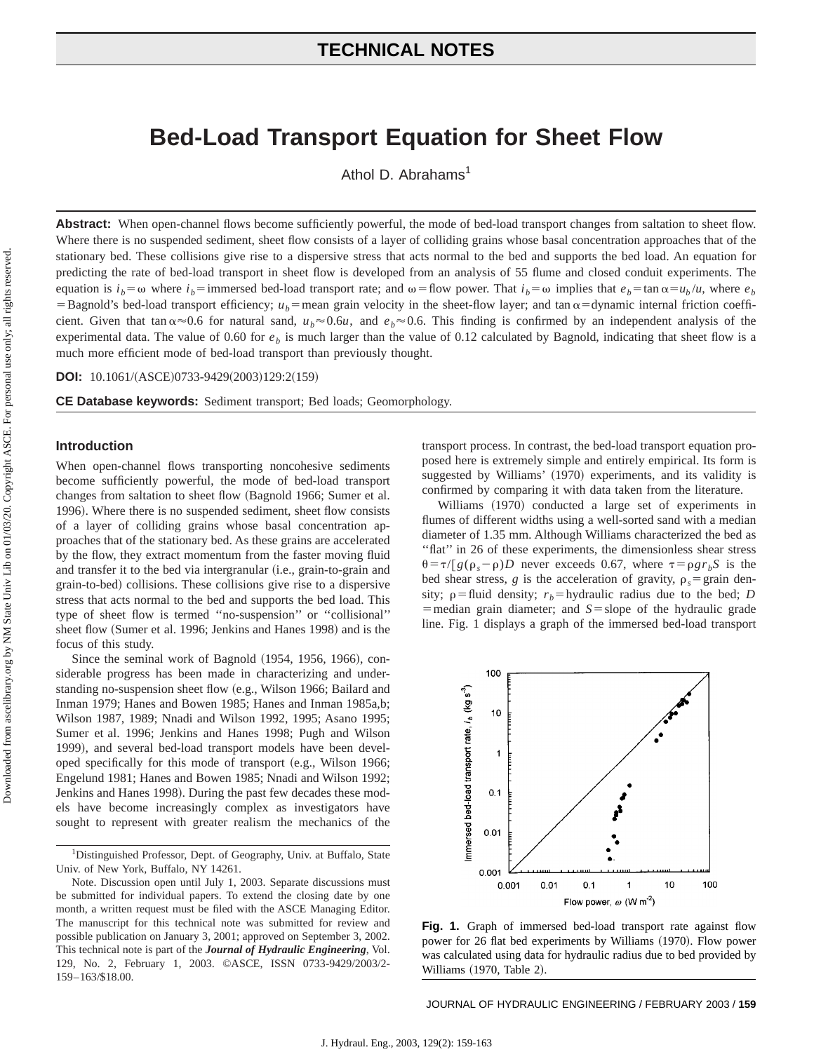# **TECHNICAL NOTES**

# **Bed-Load Transport Equation for Sheet Flow**

Athol D. Abrahams<sup>1</sup>

Abstract: When open-channel flows become sufficiently powerful, the mode of bed-load transport changes from saltation to sheet flow. Where there is no suspended sediment, sheet flow consists of a layer of colliding grains whose basal concentration approaches that of the stationary bed. These collisions give rise to a dispersive stress that acts normal to the bed and supports the bed load. An equation for predicting the rate of bed-load transport in sheet flow is developed from an analysis of 55 flume and closed conduit experiments. The equation is  $i_b = \omega$  where  $i_b$  = immersed bed-load transport rate; and  $\omega$  = flow power. That  $i_b = \omega$  implies that  $e_b = \tan \alpha = u_b/u$ , where  $e_b$ =Bagnold's bed-load transport efficiency;  $u_b$ =mean grain velocity in the sheet-flow layer; and tan  $\alpha$ =dynamic internal friction coefficient. Given that tan  $\alpha \approx 0.6$  for natural sand,  $u_b \approx 0.6u$ , and  $e_b \approx 0.6$ . This finding is confirmed by an independent analysis of the experimental data. The value of 0.60 for  $e<sub>b</sub>$  is much larger than the value of 0.12 calculated by Bagnold, indicating that sheet flow is a much more efficient mode of bed-load transport than previously thought.

**DOI:** 10.1061/(ASCE)0733-9429(2003)129:2(159)

**CE Database keywords:** Sediment transport; Bed loads; Geomorphology.

# **Introduction**

When open-channel flows transporting noncohesive sediments become sufficiently powerful, the mode of bed-load transport changes from saltation to sheet flow (Bagnold 1966; Sumer et al. 1996). Where there is no suspended sediment, sheet flow consists of a layer of colliding grains whose basal concentration approaches that of the stationary bed. As these grains are accelerated by the flow, they extract momentum from the faster moving fluid and transfer it to the bed via intergranular (i.e., grain-to-grain and grain-to-bed) collisions. These collisions give rise to a dispersive stress that acts normal to the bed and supports the bed load. This type of sheet flow is termed ''no-suspension'' or ''collisional'' sheet flow (Sumer et al. 1996; Jenkins and Hanes 1998) and is the focus of this study.

Since the seminal work of Bagnold (1954, 1956, 1966), considerable progress has been made in characterizing and understanding no-suspension sheet flow (e.g., Wilson 1966; Bailard and Inman 1979; Hanes and Bowen 1985; Hanes and Inman 1985a,b; Wilson 1987, 1989; Nnadi and Wilson 1992, 1995; Asano 1995; Sumer et al. 1996; Jenkins and Hanes 1998; Pugh and Wilson 1999), and several bed-load transport models have been developed specifically for this mode of transport (e.g., Wilson 1966; Engelund 1981; Hanes and Bowen 1985; Nnadi and Wilson 1992; Jenkins and Hanes 1998). During the past few decades these models have become increasingly complex as investigators have sought to represent with greater realism the mechanics of the transport process. In contrast, the bed-load transport equation proposed here is extremely simple and entirely empirical. Its form is suggested by Williams' (1970) experiments, and its validity is confirmed by comparing it with data taken from the literature.

Williams (1970) conducted a large set of experiments in flumes of different widths using a well-sorted sand with a median diameter of 1.35 mm. Although Williams characterized the bed as ''flat'' in 26 of these experiments, the dimensionless shear stress  $\theta = \tau / [g(\rho_s - \rho)D]$  never exceeds 0.67, where  $\tau = \rho g r_b S$  is the bed shear stress, *g* is the acceleration of gravity,  $\rho_s = \text{grain den-}$ sity;  $\rho$ =fluid density;  $r_b$ =hydraulic radius due to the bed; *D*  $=$  median grain diameter; and  $S =$  slope of the hydraulic grade line. Fig. 1 displays a graph of the immersed bed-load transport



**Fig. 1.** Graph of immersed bed-load transport rate against flow power for 26 flat bed experiments by Williams (1970). Flow power was calculated using data for hydraulic radius due to bed provided by Williams (1970, Table 2).

JOURNAL OF HYDRAULIC ENGINEERING / FEBRUARY 2003 / **159**

<sup>&</sup>lt;sup>1</sup>Distinguished Professor, Dept. of Geography, Univ. at Buffalo, State Univ. of New York, Buffalo, NY 14261.

Note. Discussion open until July 1, 2003. Separate discussions must be submitted for individual papers. To extend the closing date by one month, a written request must be filed with the ASCE Managing Editor. The manuscript for this technical note was submitted for review and possible publication on January 3, 2001; approved on September 3, 2002. This technical note is part of the *Journal of Hydraulic Engineering*, Vol. 129, No. 2, February 1, 2003. ©ASCE, ISSN 0733-9429/2003/2- 159–163/\$18.00.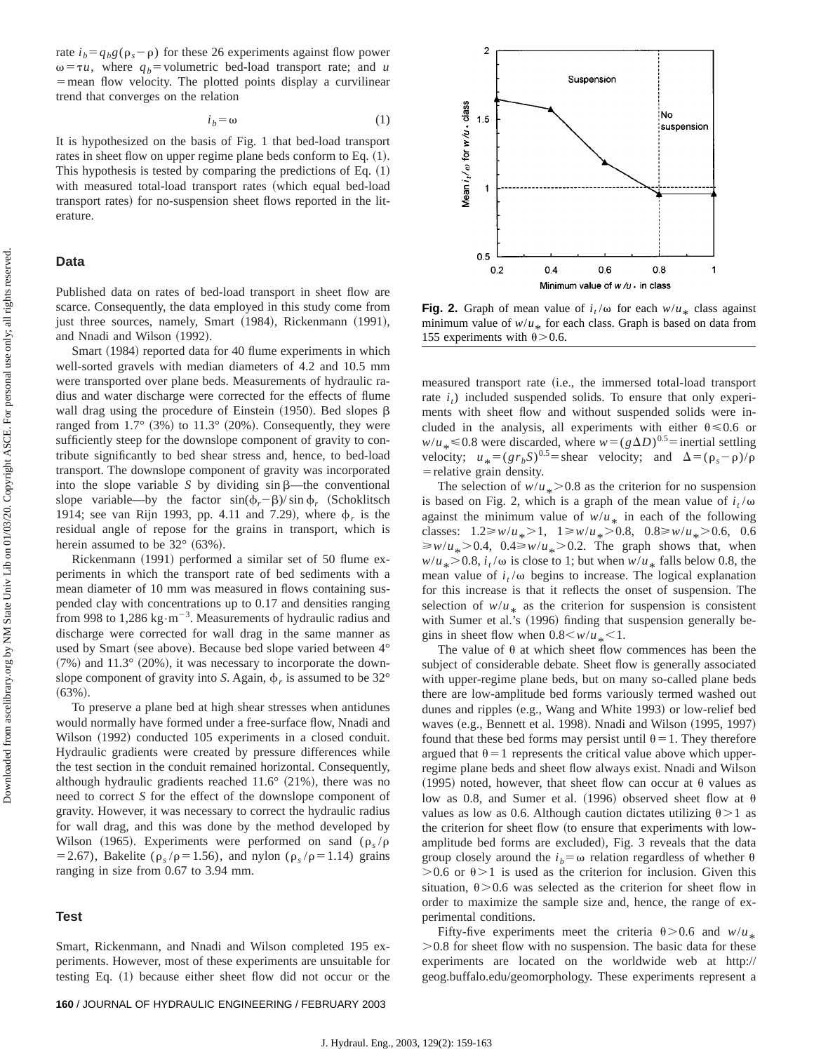Downloaded from ascelibrary.org by NM State Univ Lib on 01/03/20. Copyright ASCE. For personal use only; all rights reserved. Downloaded from ascelibrary.org by NM State Univ Lib on 01/03/20. Copyright ASCE. For personal use only; all rights reserved. rate  $i_b = q_b g(\rho_s - \rho)$  for these 26 experiments against flow power  $\omega = \tau u$ , where  $q_b$ =volumetric bed-load transport rate; and *u*  $=$  mean flow velocity. The plotted points display a curvilinear trend that converges on the relation

$$
i_b = \omega \tag{1}
$$

It is hypothesized on the basis of Fig. 1 that bed-load transport rates in sheet flow on upper regime plane beds conform to Eq.  $(1)$ . This hypothesis is tested by comparing the predictions of Eq.  $(1)$ with measured total-load transport rates (which equal bed-load transport rates) for no-suspension sheet flows reported in the literature.

# **Data**

Published data on rates of bed-load transport in sheet flow are scarce. Consequently, the data employed in this study come from just three sources, namely, Smart (1984), Rickenmann (1991), and Nnadi and Wilson (1992).

Smart (1984) reported data for 40 flume experiments in which well-sorted gravels with median diameters of 4.2 and 10.5 mm were transported over plane beds. Measurements of hydraulic radius and water discharge were corrected for the effects of flume wall drag using the procedure of Einstein  $(1950)$ . Bed slopes  $\beta$ ranged from  $1.7^{\circ}$  (3%) to  $11.3^{\circ}$  (20%). Consequently, they were sufficiently steep for the downslope component of gravity to contribute significantly to bed shear stress and, hence, to bed-load transport. The downslope component of gravity was incorporated into the slope variable *S* by dividing  $\sin \beta$ —the conventional slope variable—by the factor  $sin(\phi_r - \beta)/ sin \phi_r$  (Schoklitsch 1914; see van Rijn 1993, pp. 4.11 and 7.29), where  $\phi_r$  is the residual angle of repose for the grains in transport, which is herein assumed to be  $32^{\circ}$  (63%).

Rickenmann (1991) performed a similar set of 50 flume experiments in which the transport rate of bed sediments with a mean diameter of 10 mm was measured in flows containing suspended clay with concentrations up to 0.17 and densities ranging from 998 to  $1,286 \text{ kg} \cdot \text{m}^{-3}$ . Measurements of hydraulic radius and discharge were corrected for wall drag in the same manner as used by Smart (see above). Because bed slope varied between 4°  $(7\%)$  and  $11.3^\circ$  (20%), it was necessary to incorporate the downslope component of gravity into *S*. Again,  $\phi_r$  is assumed to be 32°  $(63\%).$ 

To preserve a plane bed at high shear stresses when antidunes would normally have formed under a free-surface flow, Nnadi and Wilson (1992) conducted 105 experiments in a closed conduit. Hydraulic gradients were created by pressure differences while the test section in the conduit remained horizontal. Consequently, although hydraulic gradients reached  $11.6^{\circ}$  (21%), there was no need to correct *S* for the effect of the downslope component of gravity. However, it was necessary to correct the hydraulic radius for wall drag, and this was done by the method developed by Wilson (1965). Experiments were performed on sand ( $\rho_s/\rho$ = 2.67), Bakelite ( $\rho_s / \rho$ = 1.56), and nylon ( $\rho_s / \rho$ = 1.14) grains ranging in size from 0.67 to 3.94 mm.

#### **Test**

Smart, Rickenmann, and Nnadi and Wilson completed 195 experiments. However, most of these experiments are unsuitable for testing Eq. (1) because either sheet flow did not occur or the



**Fig. 2.** Graph of mean value of  $i_t/\omega$  for each  $w/u_*$  class against minimum value of  $w/u_*$  for each class. Graph is based on data from 155 experiments with  $\theta$  > 0.6.

measured transport rate (i.e., the immersed total-load transport rate  $i_t$ ) included suspended solids. To ensure that only experiments with sheet flow and without suspended solids were included in the analysis, all experiments with either  $\theta \le 0.6$  or  $w/u_* \le 0.8$  were discarded, where  $w = (g \Delta D)^{0.5}$  inertial settling velocity;  $u_* = (gr_bS)^{0.5}$  = shear velocity; and  $\Delta = (\rho_s - \rho)/\rho$  $=$  relative grain density.

The selection of  $w/u_* > 0.8$  as the criterion for no suspension is based on Fig. 2, which is a graph of the mean value of  $i_t/\omega$ against the minimum value of  $w/u_*$  in each of the following classes:  $1.2 \ge w/u_* > 1$ ,  $1 \ge w/u_* > 0.8$ ,  $0.8 \ge w/u_* > 0.6$ , 0.6  $\geq w/u_* > 0.4$ ,  $0.4 \geq w/u_* > 0.2$ . The graph shows that, when  $w/u_* > 0.8$ ,  $i_t/\omega$  is close to 1; but when  $w/u_*$  falls below 0.8, the mean value of  $i_t/\omega$  begins to increase. The logical explanation for this increase is that it reflects the onset of suspension. The selection of  $w/u_*$  as the criterion for suspension is consistent with Sumer et al.'s (1996) finding that suspension generally begins in sheet flow when  $0.8 \leq w/u_* \leq 1$ .<br>The value of 0 at which sheet flow.

The value of  $\theta$  at which sheet flow commences has been the subject of considerable debate. Sheet flow is generally associated with upper-regime plane beds, but on many so-called plane beds there are low-amplitude bed forms variously termed washed out dunes and ripples (e.g., Wang and White 1993) or low-relief bed waves (e.g., Bennett et al. 1998). Nnadi and Wilson (1995, 1997) found that these bed forms may persist until  $\theta = 1$ . They therefore argued that  $\theta$ =1 represents the critical value above which upperregime plane beds and sheet flow always exist. Nnadi and Wilson (1995) noted, however, that sheet flow can occur at  $\theta$  values as low as 0.8, and Sumer et al. (1996) observed sheet flow at  $\theta$ values as low as 0.6. Although caution dictates utilizing  $\theta > 1$  as the criterion for sheet flow (to ensure that experiments with lowamplitude bed forms are excluded), Fig. 3 reveals that the data group closely around the  $i<sub>b</sub> = \omega$  relation regardless of whether  $\theta$  $> 0.6$  or  $\theta > 1$  is used as the criterion for inclusion. Given this situation,  $\theta$  > 0.6 was selected as the criterion for sheet flow in order to maximize the sample size and, hence, the range of experimental conditions.

Fifty-five experiments meet the criteria  $\theta > 0.6$  and  $w/u_*$  .  $> 0.8$  for sheet flow with no suspension. The basic data for these experiments are located on the worldwide web at http:// geog.buffalo.edu/geomorphology. These experiments represent a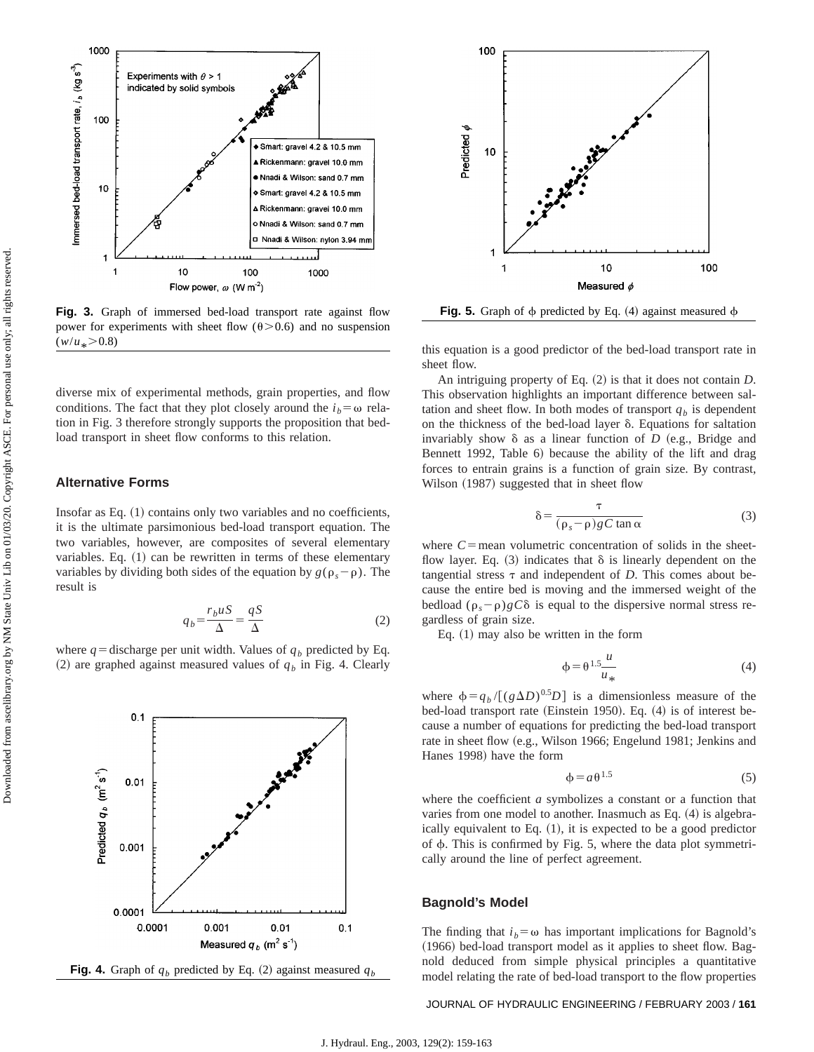

**Fig. 3.** Graph of immersed bed-load transport rate against flow power for experiments with sheet flow ( $\theta$ >0.6) and no suspension  $(w/u_* > 0.8)$ 

diverse mix of experimental methods, grain properties, and flow conditions. The fact that they plot closely around the  $i_b = \omega$  relation in Fig. 3 therefore strongly supports the proposition that bedload transport in sheet flow conforms to this relation.

# **Alternative Forms**

Insofar as Eq.  $(1)$  contains only two variables and no coefficients, it is the ultimate parsimonious bed-load transport equation. The two variables, however, are composites of several elementary variables. Eq.  $(1)$  can be rewritten in terms of these elementary variables by dividing both sides of the equation by  $g(\rho_s - \rho)$ . The result is

$$
q_b = \frac{r_b u S}{\Delta} = \frac{qS}{\Delta} \tag{2}
$$

where  $q =$  discharge per unit width. Values of  $q_b$  predicted by Eq. (2) are graphed against measured values of  $q<sub>b</sub>$  in Fig. 4. Clearly







this equation is a good predictor of the bed-load transport rate in sheet flow.

An intriguing property of Eq. (2) is that it does not contain *D*. This observation highlights an important difference between saltation and sheet flow. In both modes of transport  $q<sub>b</sub>$  is dependent on the thickness of the bed-load layer  $\delta$ . Equations for saltation invariably show  $\delta$  as a linear function of *D* (e.g., Bridge and Bennett 1992, Table 6) because the ability of the lift and drag forces to entrain grains is a function of grain size. By contrast, Wilson (1987) suggested that in sheet flow

$$
\delta = \frac{\tau}{(\rho_s - \rho)gC \tan \alpha} \tag{3}
$$

where  $C$ =mean volumetric concentration of solids in the sheetflow layer. Eq.  $(3)$  indicates that  $\delta$  is linearly dependent on the tangential stress  $\tau$  and independent of *D*. This comes about because the entire bed is moving and the immersed weight of the bedload  $(\rho_s - \rho)gC\delta$  is equal to the dispersive normal stress regardless of grain size.

Eq.  $(1)$  may also be written in the form

$$
\phi = \theta^{1.5} \frac{u}{u_*} \tag{4}
$$

where  $\phi = q_b / [(g \Delta D)^{0.5} D]$  is a dimensionless measure of the bed-load transport rate (Einstein 1950). Eq.  $(4)$  is of interest because a number of equations for predicting the bed-load transport rate in sheet flow (e.g., Wilson 1966; Engelund 1981; Jenkins and Hanes 1998) have the form

$$
\phi = a \theta^{1.5} \tag{5}
$$

where the coefficient *a* symbolizes a constant or a function that varies from one model to another. Inasmuch as Eq.  $(4)$  is algebraically equivalent to Eq.  $(1)$ , it is expected to be a good predictor of  $\phi$ . This is confirmed by Fig. 5, where the data plot symmetrically around the line of perfect agreement.

#### **Bagnold's Model**

The finding that  $i_b = \omega$  has important implications for Bagnold's  $(1966)$  bed-load transport model as it applies to sheet flow. Bagnold deduced from simple physical principles a quantitative model relating the rate of bed-load transport to the flow properties

# JOURNAL OF HYDRAULIC ENGINEERING / FEBRUARY 2003 / **161**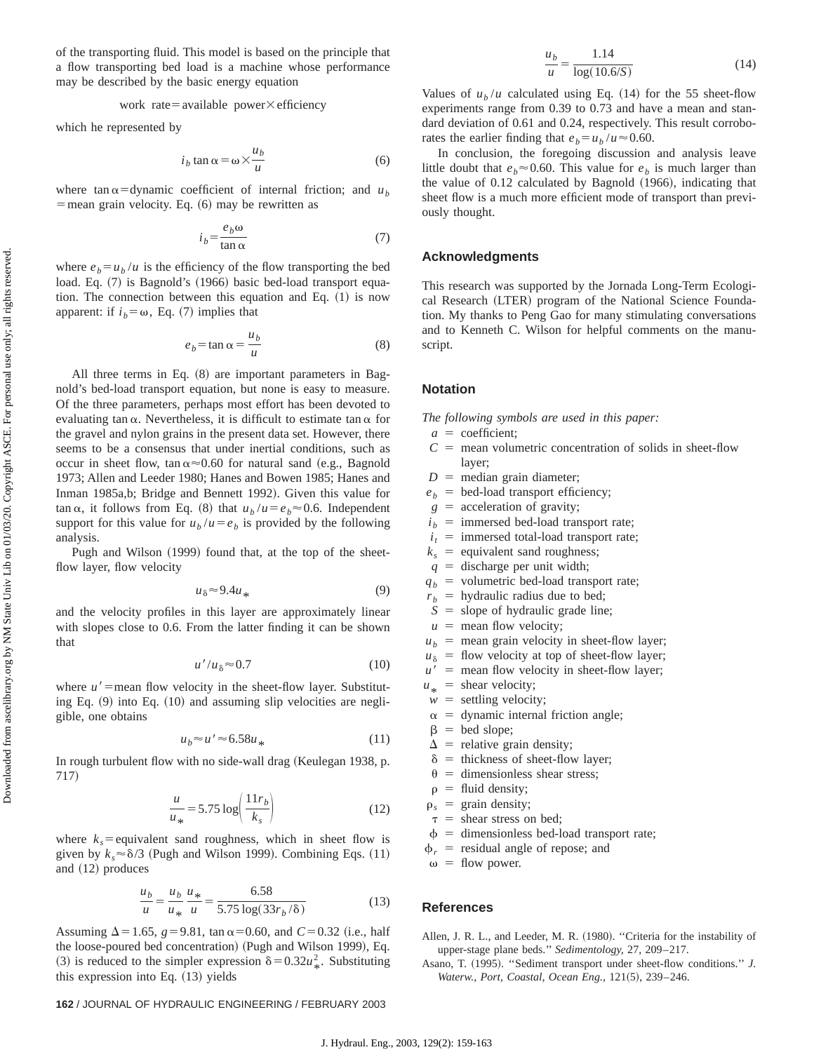of the transporting fluid. This model is based on the principle that a flow transporting bed load is a machine whose performance may be described by the basic energy equation

work rate = available power 
$$
\times
$$
 efficiency

which he represented by

$$
i_b \tan \alpha = \omega \times \frac{u_b}{u} \tag{6}
$$

where tan  $\alpha$ =dynamic coefficient of internal friction; and  $u_b$  $=$  mean grain velocity. Eq.  $(6)$  may be rewritten as

$$
i_b = \frac{e_b \omega}{\tan \alpha} \tag{7}
$$

where  $e_b = u_b / u$  is the efficiency of the flow transporting the bed load. Eq. (7) is Bagnold's (1966) basic bed-load transport equation. The connection between this equation and Eq.  $(1)$  is now apparent: if  $i_b = \omega$ , Eq. (7) implies that

$$
e_b = \tan \alpha = \frac{u_b}{u} \tag{8}
$$

All three terms in Eq.  $(8)$  are important parameters in Bagnold's bed-load transport equation, but none is easy to measure. Of the three parameters, perhaps most effort has been devoted to evaluating tan  $\alpha$ . Nevertheless, it is difficult to estimate tan  $\alpha$  for the gravel and nylon grains in the present data set. However, there seems to be a consensus that under inertial conditions, such as occur in sheet flow, tan  $\alpha \approx 0.60$  for natural sand (e.g., Bagnold 1973; Allen and Leeder 1980; Hanes and Bowen 1985; Hanes and Inman 1985a,b; Bridge and Bennett 1992). Given this value for tan  $\alpha$ , it follows from Eq. (8) that  $u_b/u = e_b \approx 0.6$ . Independent support for this value for  $u_b/u = e_b$  is provided by the following analysis.

Pugh and Wilson (1999) found that, at the top of the sheetflow layer, flow velocity

$$
u_{\delta} \approx 9.4u_{*} \tag{9}
$$

and the velocity profiles in this layer are approximately linear with slopes close to 0.6. From the latter finding it can be shown that

$$
u'/u_{\delta} \approx 0.7 \tag{10}
$$

where  $u'$ =mean flow velocity in the sheet-flow layer. Substituting Eq.  $(9)$  into Eq.  $(10)$  and assuming slip velocities are negligible, one obtains

$$
u_b \approx u' \approx 6.58u_*\tag{11}
$$

In rough turbulent flow with no side-wall drag (Keulegan 1938, p. 717)

$$
\frac{u}{u_*} = 5.75 \log \left( \frac{11r_b}{k_s} \right) \tag{12}
$$

where  $k<sub>s</sub>$ = equivalent sand roughness, which in sheet flow is given by  $k_s \approx \delta/3$  (Pugh and Wilson 1999). Combining Eqs. (11) and  $(12)$  produces

$$
\frac{u_b}{u} = \frac{u_b}{u_*} \frac{u_*}{u} = \frac{6.58}{5.75 \log(33r_b/\delta)}
$$
(13)

Assuming  $\Delta$ =1.65, *g*=9.81, tan  $\alpha$ =0.60, and *C*=0.32 (i.e., half the loose-poured bed concentration) (Pugh and Wilson 1999), Eq. (3) is reduced to the simpler expression  $\delta = 0.32u_*^2$ . Substituting this expression into Eq.  $(13)$  yields

### **162** / JOURNAL OF HYDRAULIC ENGINEERING / FEBRUARY 2003

$$
\frac{u_b}{u} = \frac{1.14}{\log(10.6/S)}\tag{14}
$$

Values of  $u_b/u$  calculated using Eq. (14) for the 55 sheet-flow experiments range from 0.39 to 0.73 and have a mean and standard deviation of 0.61 and 0.24, respectively. This result corroborates the earlier finding that  $e_b = u_b / u \approx 0.60$ .

In conclusion, the foregoing discussion and analysis leave little doubt that  $e_b \approx 0.60$ . This value for  $e_b$  is much larger than the value of  $0.12$  calculated by Bagnold  $(1966)$ , indicating that sheet flow is a much more efficient mode of transport than previously thought.

#### **Acknowledgments**

This research was supported by the Jornada Long-Term Ecological Research (LTER) program of the National Science Foundation. My thanks to Peng Gao for many stimulating conversations and to Kenneth C. Wilson for helpful comments on the manuscript.

# **Notation**

*The following symbols are used in this paper:*

- $a =$  coefficient;
- $C =$  mean volumetric concentration of solids in sheet-flow layer;
- $D =$  median grain diameter;
- $e_b$  = bed-load transport efficiency;
- $g =$  acceleration of gravity;
- $i<sub>b</sub>$  = immersed bed-load transport rate;
- $i_t$  = immersed total-load transport rate;
- $k<sub>s</sub>$  = equivalent sand roughness;
- $q =$  discharge per unit width;
- $q_b$  = volumetric bed-load transport rate;
- $r_b$  = hydraulic radius due to bed;
- $S =$  slope of hydraulic grade line;
- $u =$  mean flow velocity;
- $u_b$  = mean grain velocity in sheet-flow layer;
- $u_{\delta}$  = flow velocity at top of sheet-flow layer;
- $u'$  = mean flow velocity in sheet-flow layer;
- $u_*$  = shear velocity;
- $w =$  settling velocity;
- $\alpha$  = dynamic internal friction angle;
- $\beta$  = bed slope;
- $\Delta$  = relative grain density;
- $\delta$  = thickness of sheet-flow layer;
- $\theta$  = dimensionless shear stress;
- $\rho$  = fluid density;
- $\rho_s$  = grain density;
- $\tau$  = shear stress on bed;
- $\phi$  = dimensionless bed-load transport rate;
- $\phi_r$  = residual angle of repose; and

 $\omega =$  flow power.

#### **References**

Allen, J. R. L., and Leeder, M. R. (1980). "Criteria for the instability of upper-stage plane beds.'' *Sedimentology,* 27, 209–217.

Asano, T. (1995). "Sediment transport under sheet-flow conditions." *J.* Waterw., Port, Coastal, Ocean Eng., 121(5), 239–246.